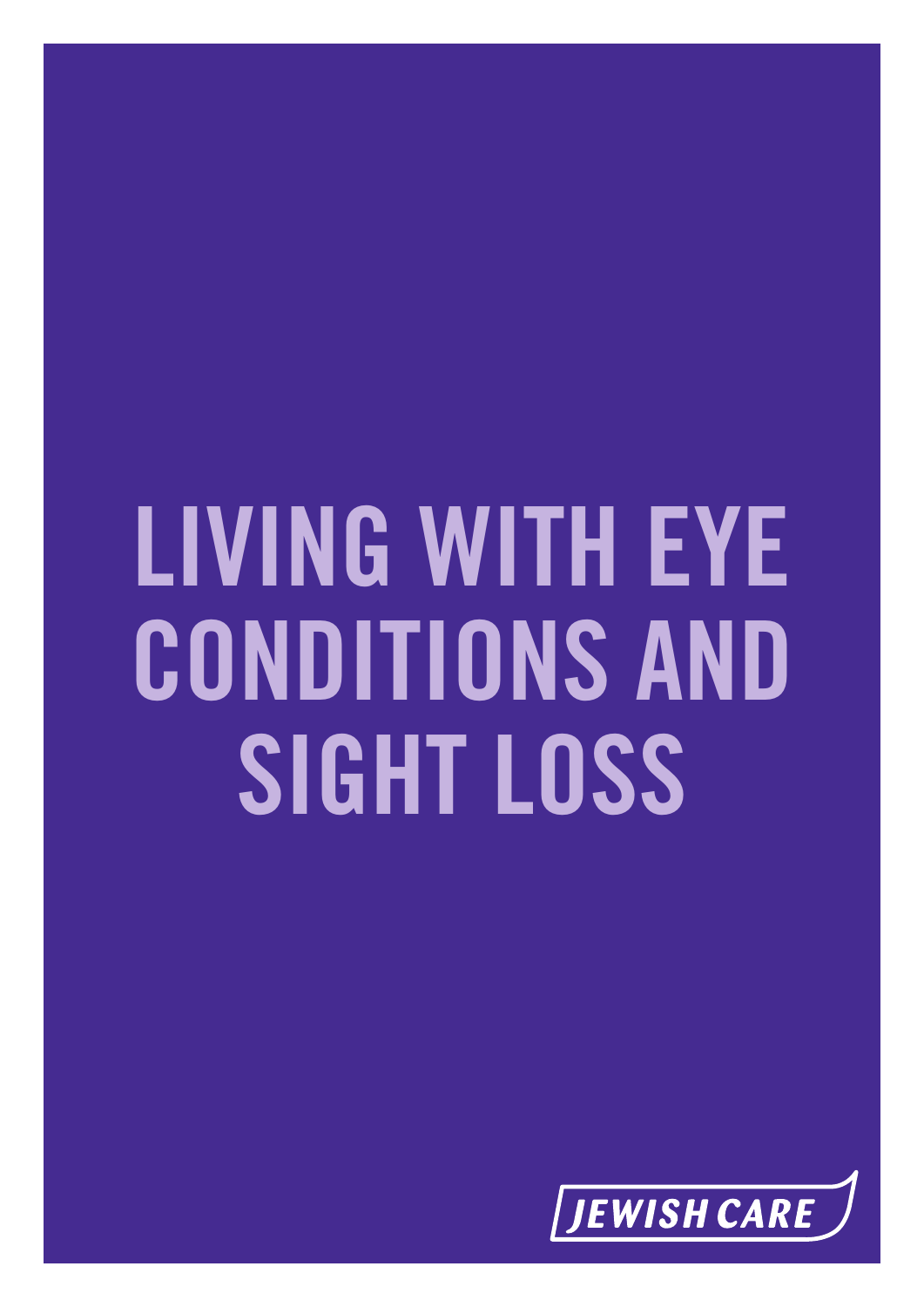# **LIVING WITH EYE CONDITIONS AND SIGHT LOSS**

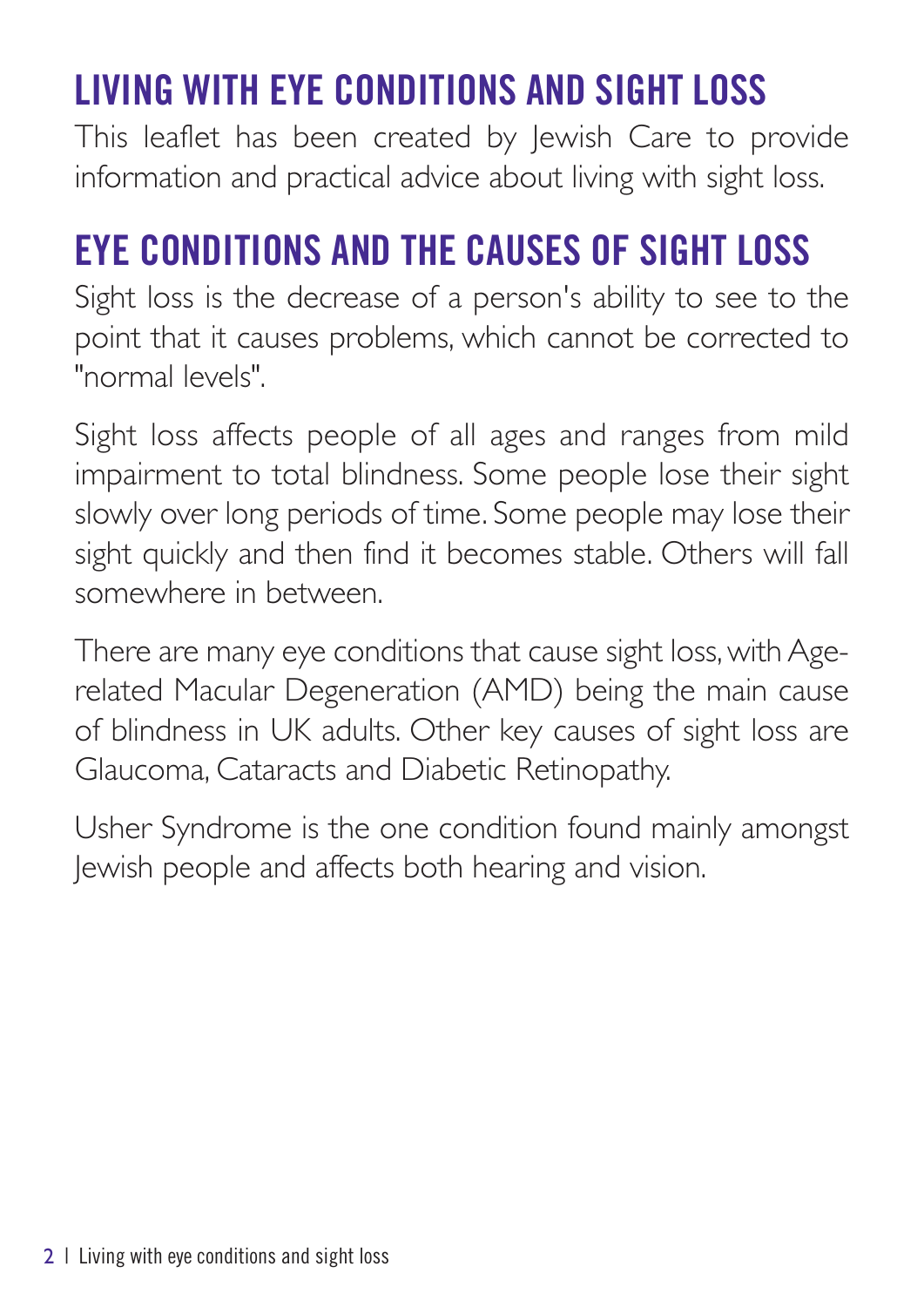# **LIVING WITH EYE CONDITIONS AND SIGHT LOSS**

This leaflet has been created by Jewish Care to provide information and practical advice about living with sight loss.

## **EYE CONDITIONS AND THE CAUSES OF SIGHT LOSS**

Sight loss is the decrease of a person's ability to see to the point that it causes problems, which cannot be corrected to "normal levels".

Sight loss affects people of all ages and ranges from mild impairment to total blindness. Some people lose their sight slowly over long periods of time. Some people may lose their sight quickly and then find it becomes stable. Others will fall somewhere in between.

There are many eye conditions that cause sight loss, with Agerelated Macular Degeneration (AMD) being the main cause of blindness in UK adults. Other key causes of sight loss are Glaucoma, Cataracts and Diabetic Retinopathy.

Usher Syndrome is the one condition found mainly amongst Jewish people and affects both hearing and vision.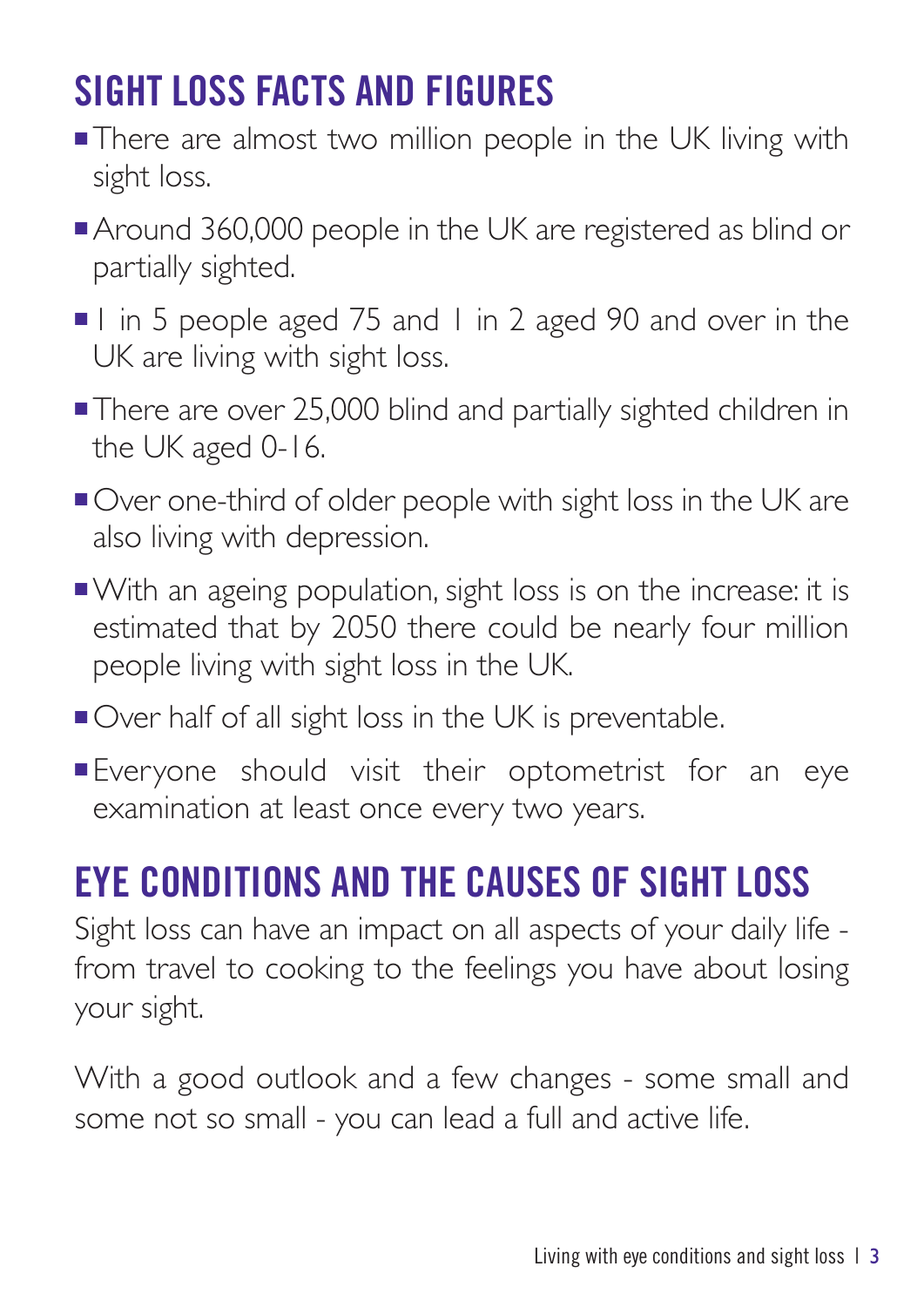# **SIGHT LOSS FACTS AND FIGURES**

- **There are almost two million people in the UK living with** sight loss.
- Around 360,000 people in the UK are registered as blind or partially sighted.
- 1 in 5 people aged 75 and 1 in 2 aged 90 and over in the UK are living with sight loss.
- **There are over 25,000 blind and partially sighted children in** the UK aged 0-16.
- Over one-third of older people with sight loss in the UK are also living with depression.
- <sup>n</sup>With an ageing population, sight loss is on the increase: it is estimated that by 2050 there could be nearly four million people living with sight loss in the UK.
- Over half of all sight loss in the UK is preventable.
- **Everyone should visit their optometrist for an eye** examination at least once every two years.

## **EYE CONDITIONS AND THE CAUSES OF SIGHT LOSS**

Sight loss can have an impact on all aspects of your daily life from travel to cooking to the feelings you have about losing your sight.

With a good outlook and a few changes - some small and some not so small - you can lead a full and active life.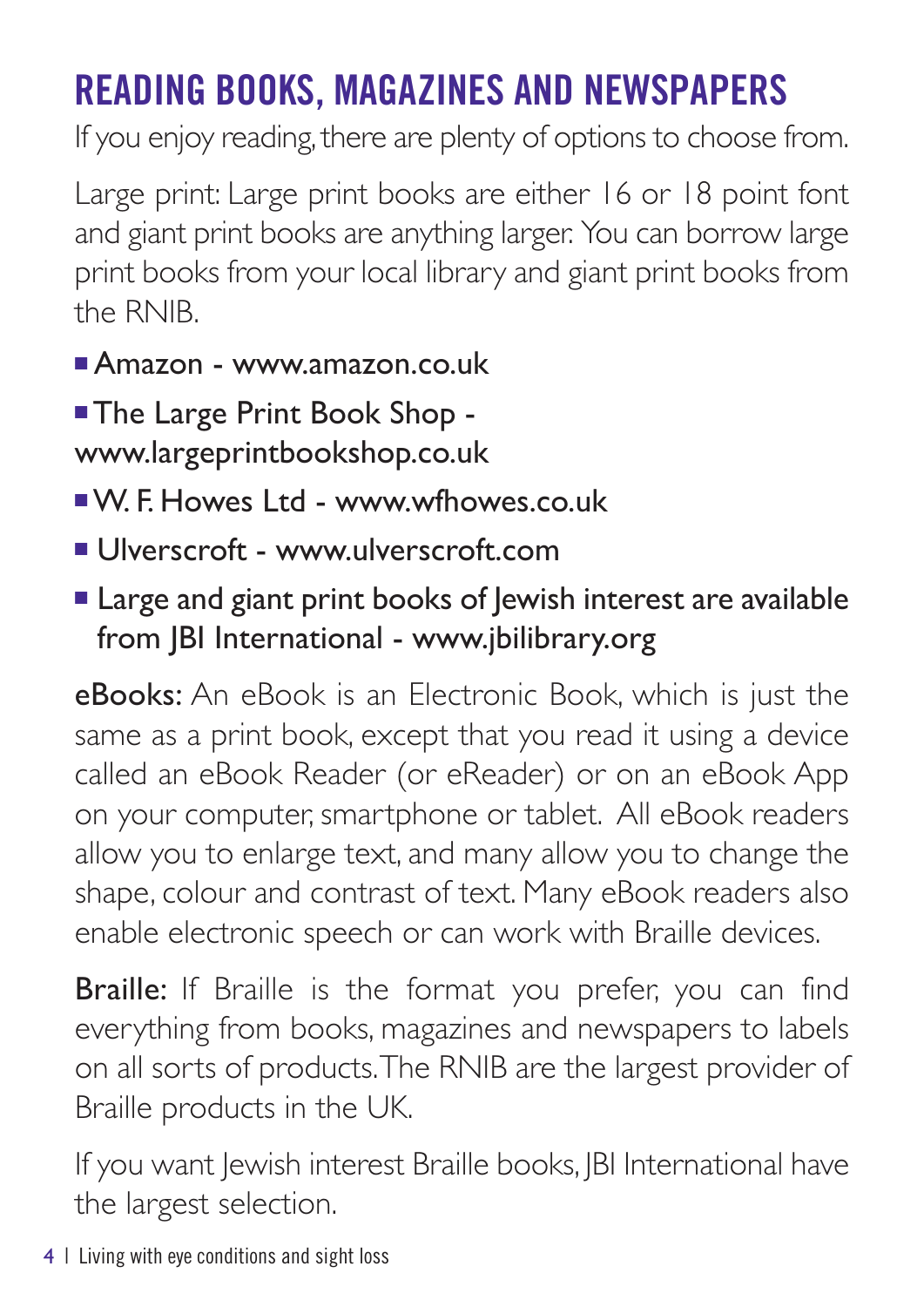# **READING BOOKS, MAGAZINES AND NEWSPAPERS**

If you enjoy reading, there are plenty of options to choose from.

Large print: Large print books are either 16 or 18 point font and giant print books are anything larger. You can borrow large print books from your local library and giant print books from the RNIB.

- $\blacksquare$ Amazon www.amazon.co.uk
- **The Large Print Book Shop** www.largeprintbookshop.co.uk
- <sup>n</sup>W. F. Howes Ltd www.wfhowes.co.uk
- Ulverscroft www.ulverscroft.com
- Large and giant print books of lewish interest are available from JBI International - www.jbilibrary.org

eBooks: An eBook is an Electronic Book, which is just the same as a print book, except that you read it using a device called an eBook Reader (or eReader) or on an eBook App on your computer, smartphone or tablet. All eBook readers allow you to enlarge text, and many allow you to change the shape, colour and contrast of text. Many eBook readers also enable electronic speech or can work with Braille devices.

**Braille:** If Braille is the format you prefer, you can find everything from books, magazines and newspapers to labels on all sorts of products.The RNIB are the largest provider of Braille products in the UK.

If you want Jewish interest Braille books, JBI International have the largest selection.

4 | Living with eye conditions and sight loss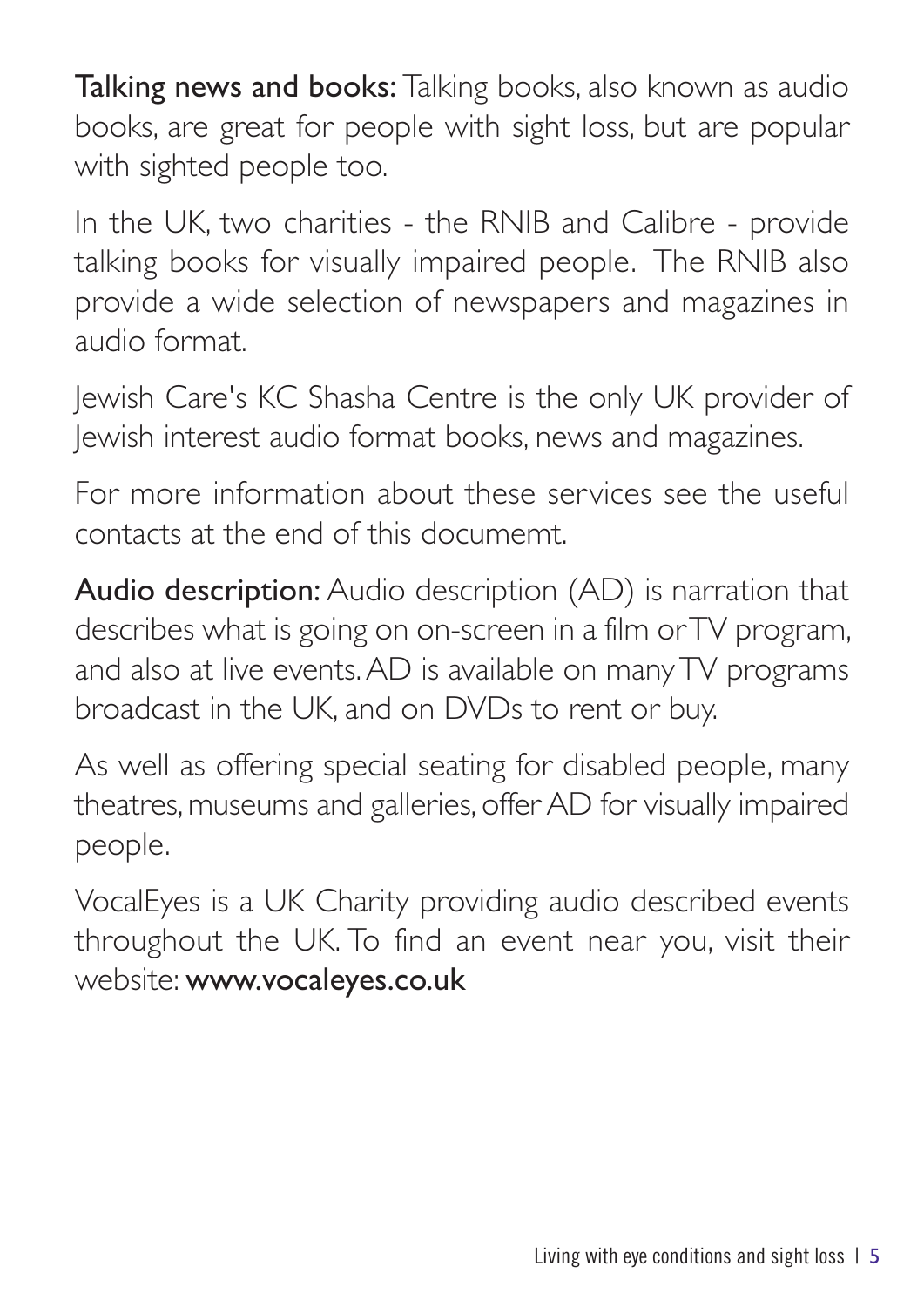Talking news and books: Talking books, also known as audio books, are great for people with sight loss, but are popular with sighted people too.

In the UK, two charities - the RNIB and Calibre - provide talking books for visually impaired people. The RNIB also provide a wide selection of newspapers and magazines in audio format.

Jewish Care's KC Shasha Centre is the only UK provider of Jewish interest audio format books, news and magazines.

For more information about these services see the useful contacts at the end of this documemt.

Audio description: Audio description (AD) is narration that describes what is going on on-screen in a film orTV program, and also at live events.AD is available on manyTV programs broadcast in the UK, and on DVDs to rent or buy.

As well as offering special seating for disabled people, many theatres, museums and galleries, offer AD for visually impaired people.

VocalEyes is a UK Charity providing audio described events throughout the UK. To find an event near you, visit their website: www.vocaleyes.co.uk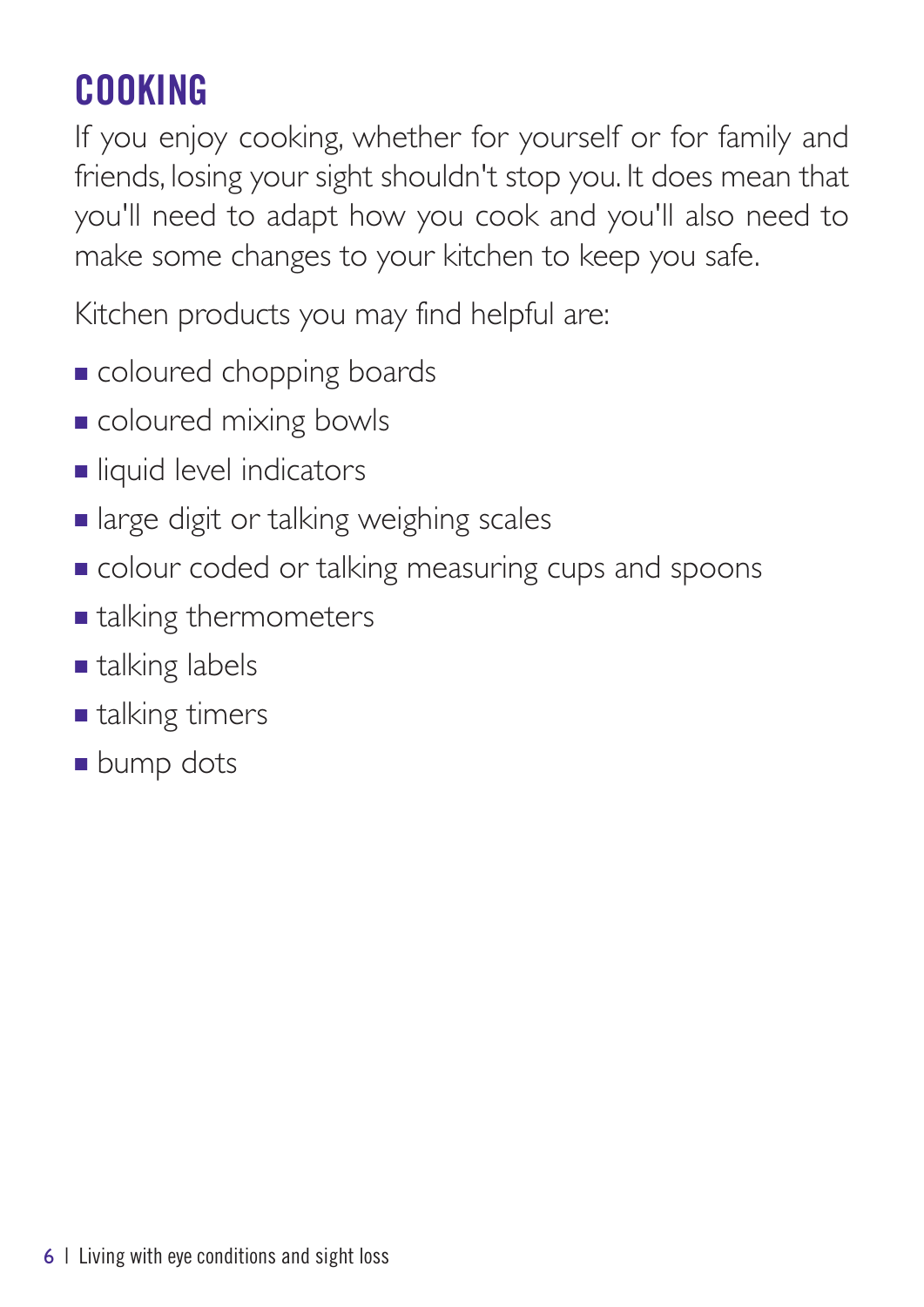# **COOKING**

If you enjoy cooking, whether for yourself or for family and friends, losing your sight shouldn't stop you. It does mean that you'll need to adapt how you cook and you'll also need to make some changes to your kitchen to keep you safe.

Kitchen products you may find helpful are:

- **n** coloured chopping boards
- **n** coloured mixing bowls
- **n** liquid level indicators
- **n** large digit or talking weighing scales
- **n** colour coded or talking measuring cups and spoons
- $\blacksquare$  talking thermometers
- $\blacksquare$  talking labels
- $\blacksquare$  talking timers
- **n** bump dots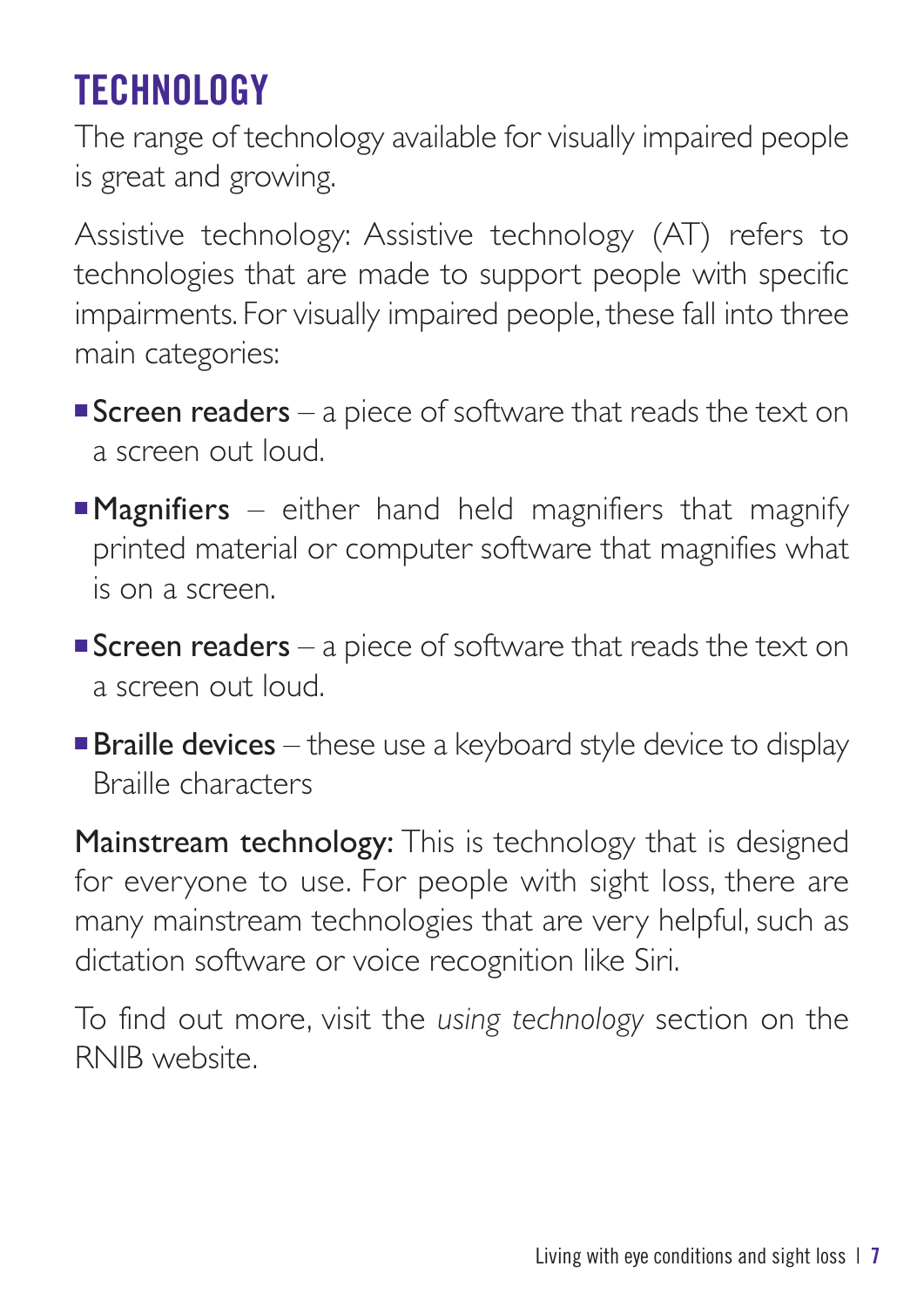# **TECHNOLOGY**

The range of technology available for visually impaired people is great and growing.

Assistive technology: Assistive technology (AT) refers to technologies that are made to support people with specific impairments. For visually impaired people, these fall into three main categories:

- **Screen readers** a piece of software that reads the text on a screen out loud.
- **Magnifiers** either hand held magnifiers that magnify printed material or computer software that magnifies what is on a screen.
- **Screen readers** a piece of software that reads the text on a screen out loud.
- $\blacksquare$  Braille devices these use a keyboard style device to display Braille characters

Mainstream technology: This is technology that is designed for everyone to use. For people with sight loss, there are many mainstream technologies that are very helpful, such as dictation software or voice recognition like Siri.

To find out more, visit the *using technology* section on the RNIB website.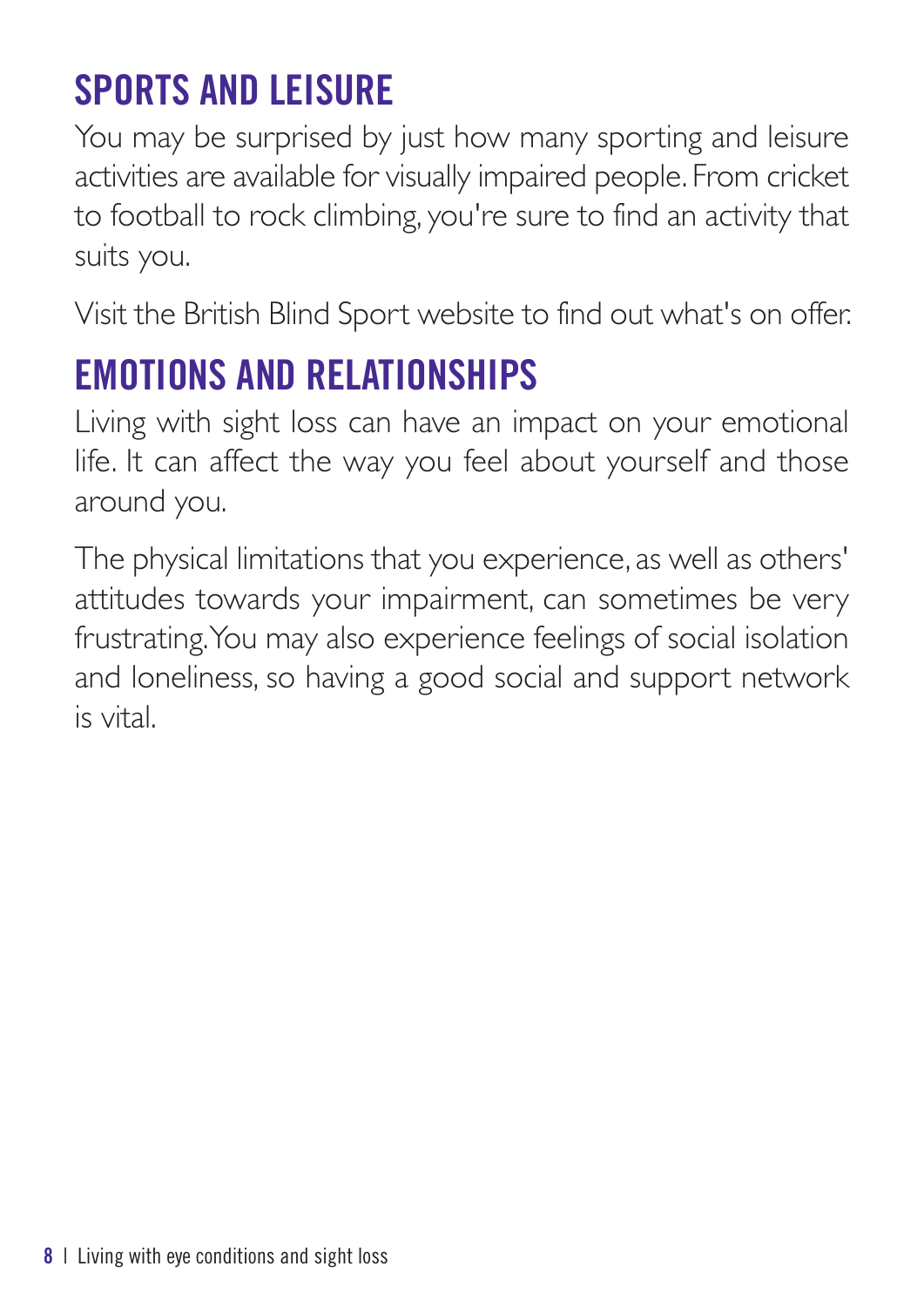## **SPORTS AND LEISURE**

You may be surprised by just how many sporting and leisure activities are available for visually impaired people. From cricket to football to rock climbing, you're sure to find an activity that suits you.

Visit the British Blind Sport website to find out what's on offer.

## **EMOTIONS AND RELATIONSHIPS**

Living with sight loss can have an impact on your emotional life. It can affect the way you feel about yourself and those around you.

The physical limitations that you experience, as well as others' attitudes towards your impairment, can sometimes be very frustrating.You may also experience feelings of social isolation and loneliness, so having a good social and support network is vital.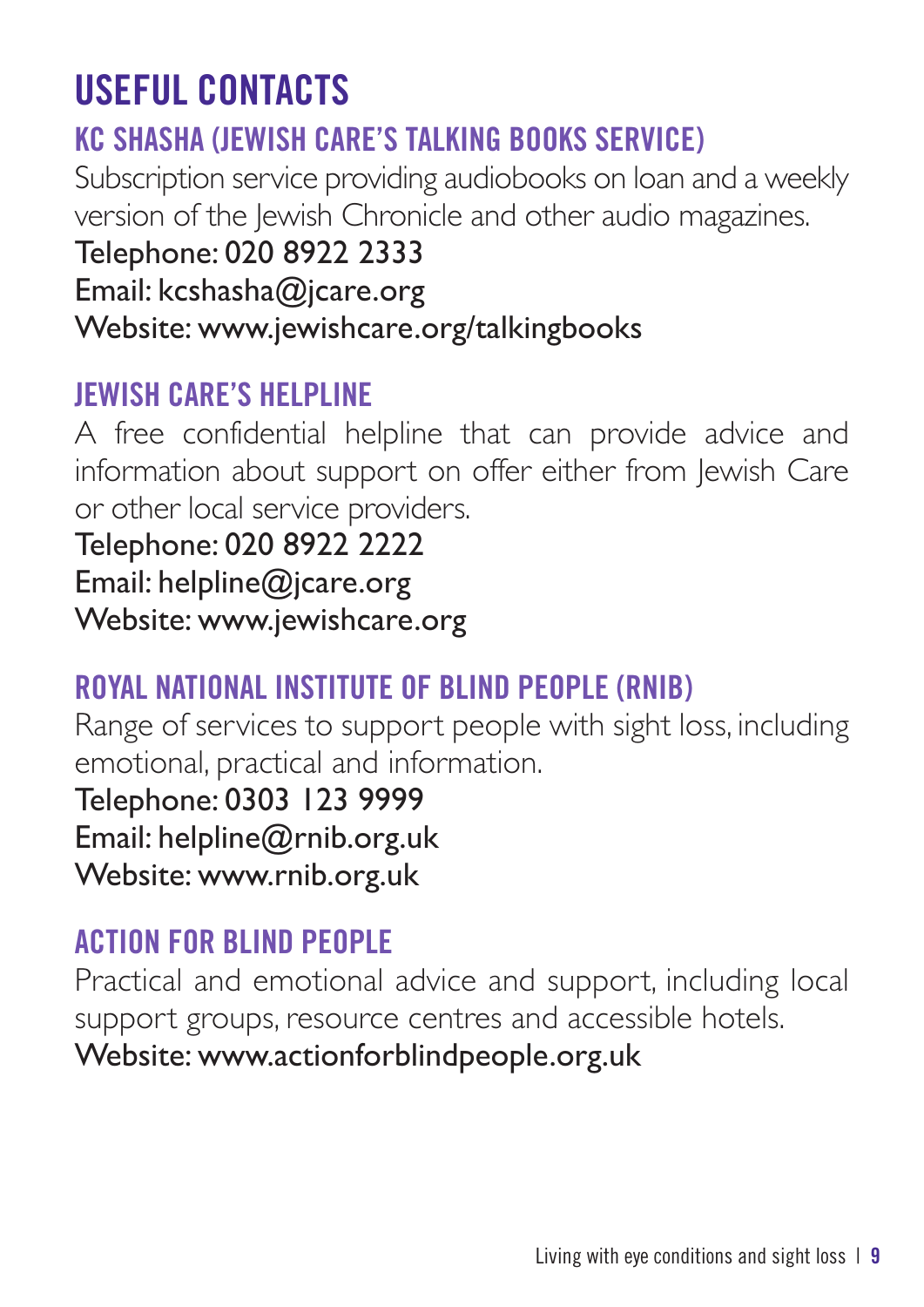## **USEFUL CONTACTS**

## **KC SHASHA (JEWISH CARE'S TALKING BOOKS SERVICE)**

Subscription service providing audiobooks on loan and a weekly version of the lewish Chronicle and other audio magazines.

#### Telephone: 020 8922 2333

Email: kcshasha@jcare.org

Website: www.jewishcare.org/talkingbooks

## **JEWISH CARE'S HELPLINE**

A free confidential helpline that can provide advice and information about support on offer either from Jewish Care or other local service providers.

Telephone: 020 8922 2222 Email: helpline@jcare.org

Website: www.jewishcare.org

## **ROYAL NATIONAL INSTITUTE OF BLIND PEOPLE (RNIB)**

Range of services to support people with sight loss, including emotional, practical and information.

Telephone: 0303 123 9999 Email: helpline@rnib.org.uk

Website: www.rnib.org.uk

## **ACTION FOR BLIND PEOPLE**

Practical and emotional advice and support, including local support groups, resource centres and accessible hotels. Website: www.actionforblindpeople.org.uk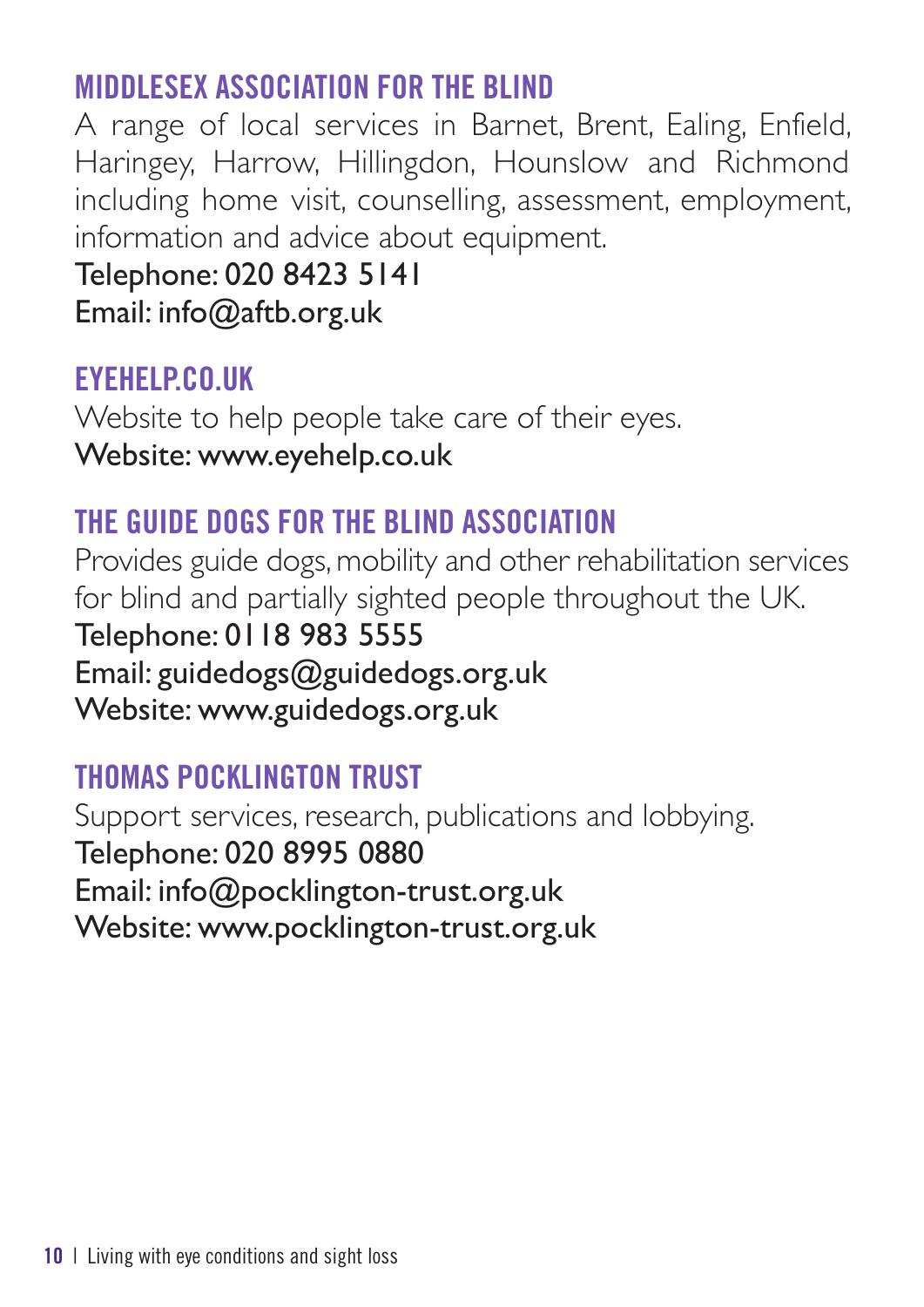#### **MIDDLESEX ASSOCIATION FOR THE BLIND**

A range of local services in Barnet, Brent, Ealing, Enfield, Haringey, Harrow, Hillingdon, Hounslow and Richmond including home visit, counselling, assessment, employment, information and advice about equipment.

Telephone: 020 8423 5141

Email: info@aftb.org.uk

#### **EYEHELP.CO.UK**

Website to help people take care of their eyes. Website: www.eyehelp.co.uk

#### **THE GUIDE DOGS FOR THE BLIND ASSOCIATION**

Provides guide dogs, mobility and other rehabilitation services for blind and partially sighted people throughout the UK. Telephone: 0118 983 5555 Email: guidedogs@guidedogs.org.uk Website: www.guidedogs.org.uk

## **THOMAS POCKLINGTON TRUST**

Support services, research, publications and lobbying. Telephone: 020 8995 0880 Email: info@pocklington-trust.org.uk Website: www.pocklington-trust.org.uk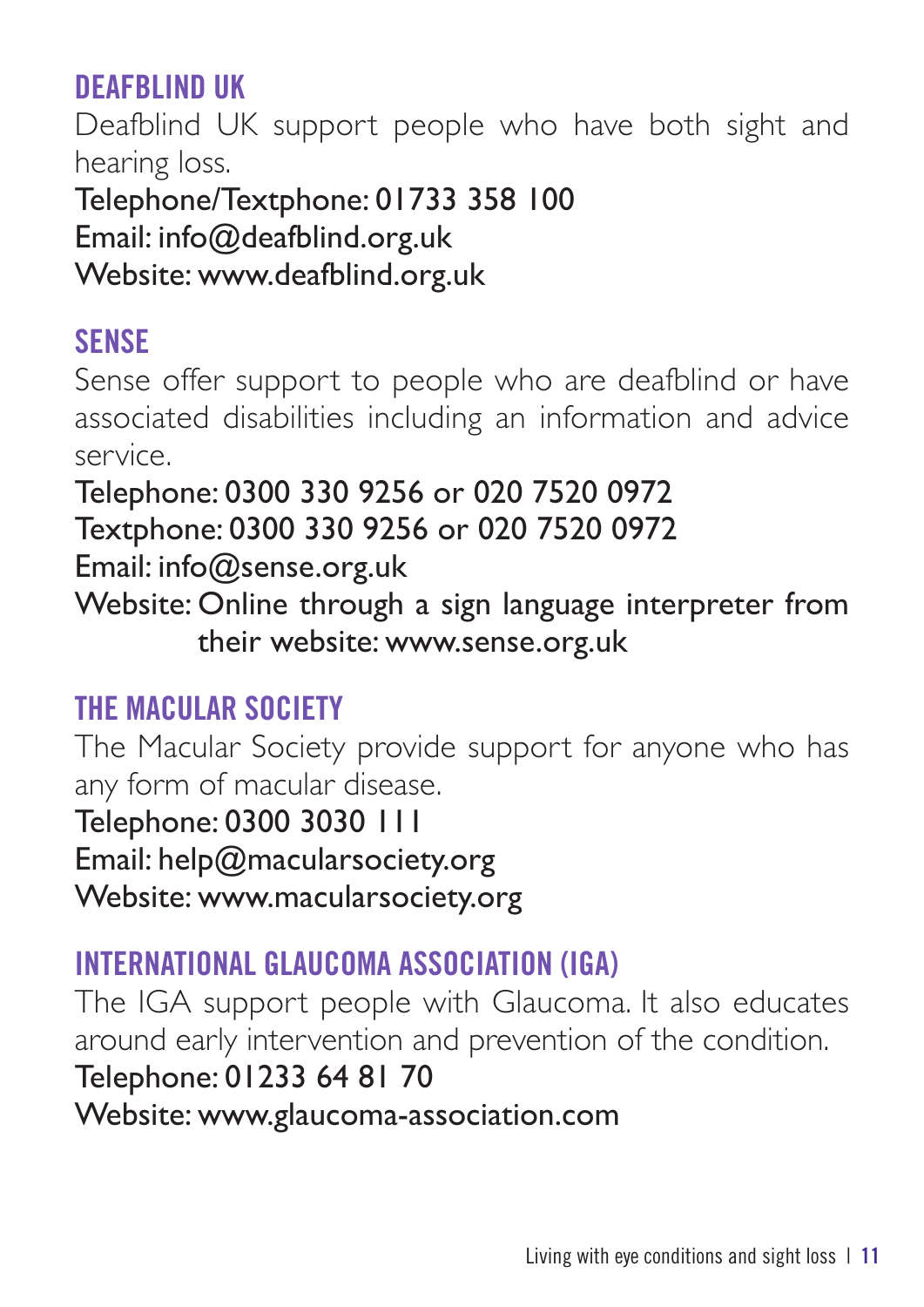## **DEAFBLIND UK**

Deafblind UK support people who have both sight and hearing loss.

Telephone/Textphone: 01733 358 100 Email: info@deafblind.org.uk Website: www.deafblind.org.uk

#### **SENSE**

Sense offer support to people who are deafblind or have associated disabilities including an information and advice service.

Telephone: 0300 330 9256 or 020 7520 0972 Textphone: 0300 330 9256 or 020 7520 0972 Email: info@sense.org.uk

Website: Online through a sign language interpreter from their website: www.sense.org.uk

#### **THE MACULAR SOCIETY**

The Macular Society provide support for anyone who has any form of macular disease.

Telephone: 0300 3030 111

Email: help@macularsociety.org

Website: www.macularsociety.org

## **INTERNATIONAL GLAUCOMA ASSOCIATION (IGA)**

The IGA support people with Glaucoma. It also educates around early intervention and prevention of the condition. Telephone: 01233 64 81 70 Website: www.glaucoma-association.com